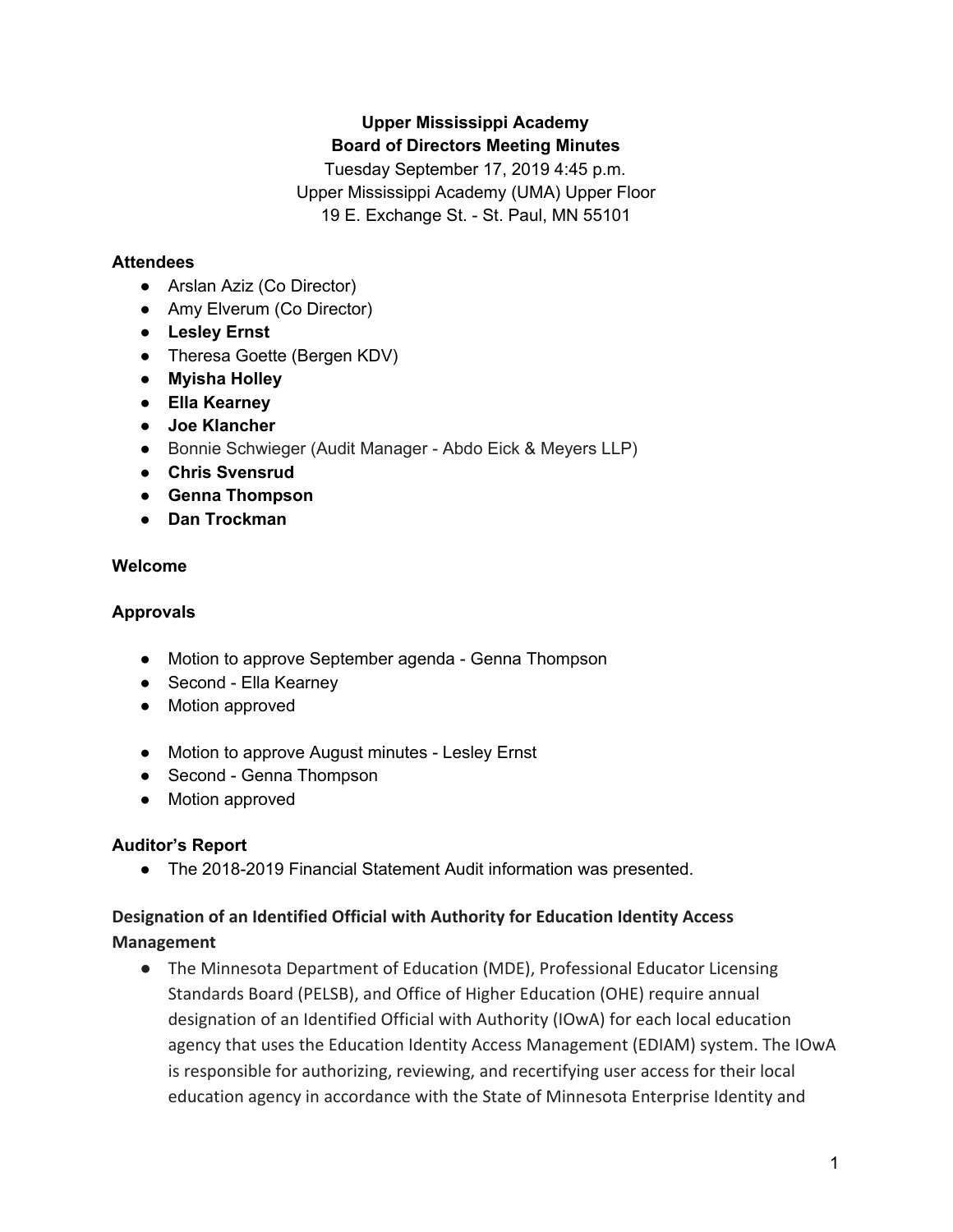# **Upper Mississippi Academy Board of Directors Meeting Minutes**

Tuesday September 17, 2019 4:45 p.m. Upper Mississippi Academy (UMA) Upper Floor 19 E. Exchange St. - St. Paul, MN 55101

### **Attendees**

- Arslan Aziz (Co Director)
- Amy Elverum (Co Director)
- **● Lesley Ernst**
- Theresa Goette (Bergen KDV)
- **● Myisha Holley**
- **● Ella Kearney**
- **● Joe Klancher**
- **●** Bonnie Schwieger (Audit Manager Abdo Eick & Meyers LLP)
- **● Chris Svensrud**
- **● Genna Thompson**
- **● Dan Trockman**

### **Welcome**

### **Approvals**

- Motion to approve September agenda Genna Thompson
- Second Ella Kearney
- Motion approved
- Motion to approve August minutes Lesley Ernst
- Second Genna Thompson
- Motion approved

### **Auditor's Report**

● The 2018-2019 Financial Statement Audit information was presented.

## **Designation of an Identified Official with Authority for Education Identity Access Management**

● The Minnesota Department of Education (MDE), Professional Educator Licensing Standards Board (PELSB), and Office of Higher Education (OHE) require annual designation of an Identified Official with Authority (IOwA) for each local education agency that uses the Education Identity Access Management (EDIAM) system. The IOwA is responsible for authorizing, reviewing, and recertifying user access for their local education agency in accordance with the State of Minnesota Enterprise Identity and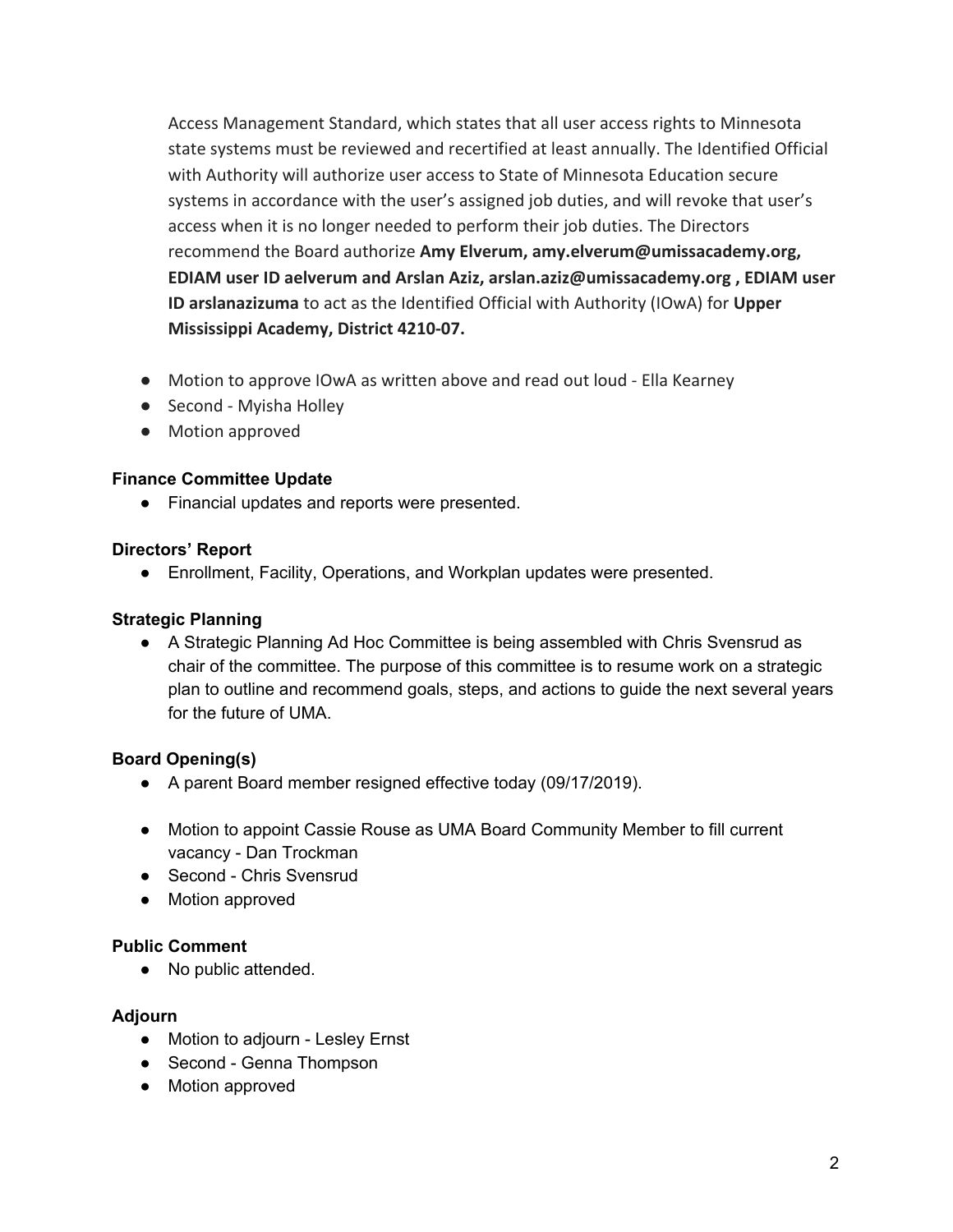Access Management Standard, which states that all user access rights to Minnesota state systems must be reviewed and recertified at least annually. The Identified Official with Authority will authorize user access to State of Minnesota Education secure systems in accordance with the user's assigned job duties, and will revoke that user's access when it is no longer needed to perform their job duties. The Directors recommend the Board authorize **Amy Elverum, amy.elverum@umissacademy.org, EDIAM user ID aelverum and Arslan Aziz, arslan.aziz@umissacademy.org , EDIAM user ID arslanazizuma** to act as the Identified Official with Authority (IOwA) for **Upper Mississippi Academy, District 4210-07.**

- Motion to approve IOwA as written above and read out loud Ella Kearney
- Second Myisha Holley
- Motion approved

### **Finance Committee Update**

● Financial updates and reports were presented.

#### **Directors' Report**

● Enrollment, Facility, Operations, and Workplan updates were presented.

#### **Strategic Planning**

● A Strategic Planning Ad Hoc Committee is being assembled with Chris Svensrud as chair of the committee. The purpose of this committee is to resume work on a strategic plan to outline and recommend goals, steps, and actions to guide the next several years for the future of UMA.

### **Board Opening(s)**

- A parent Board member resigned effective today (09/17/2019).
- Motion to appoint Cassie Rouse as UMA Board Community Member to fill current vacancy - Dan Trockman
- Second Chris Svensrud
- Motion approved

#### **Public Comment**

● No public attended.

#### **Adjourn**

- Motion to adjourn Lesley Ernst
- Second Genna Thompson
- Motion approved